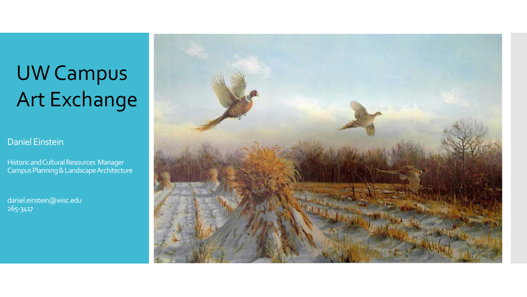# UW Campus Art Exchange

Daniel Einstein

Historic and Cultural Resources Manager Campus Planning & Landscape Architecture

daniel.einstein@wisc.edu 265-3417

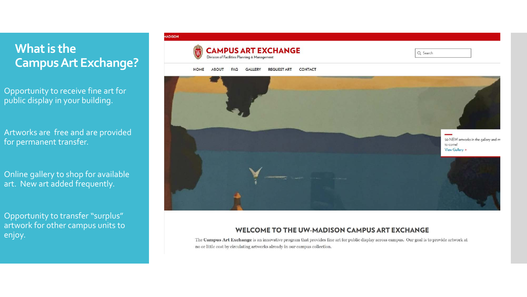# **What is the Campus Art Exchange?**

Opportunity to receive fine art for public display in your building.

Artworks are free and are provided for permanent transfer.

Online gallery to shop for available art. New art added frequently.

Opportunity to transfer "surplus" artwork for other campus units to enjoy.

#### **HADISON**



Q Search

**HOME ABOUT FAQ GALLERY REQUEST ART CONTACT** 



#### WELCOME TO THE UW-MADISON CAMPUS ART EXCHANGE

The Campus Art Exchange is an innovative program that provides fine art for public display across campus. Our goal is to provide artwork at no or little cost by circulating artworks already in our campus collection.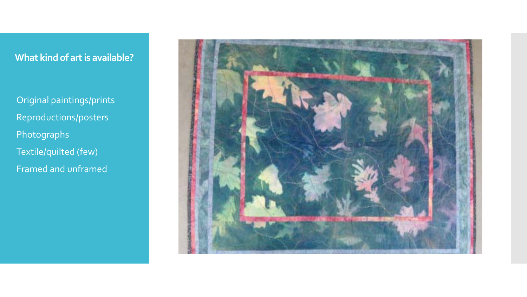## **What kind of art is available?**

 Original paintings/prints Reproductions/posters Photographs Textile/quilted (few) Framed and unframed

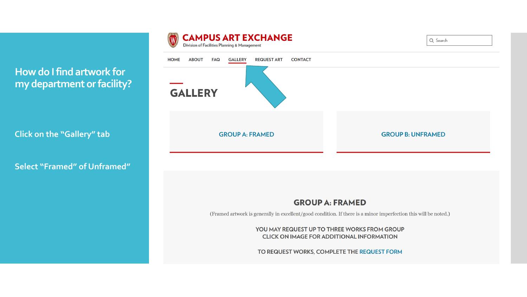

**How do I find artwork for my department or facility?**

**Click on the "Gallery" tab**

**Select "Framed" of Unframed"**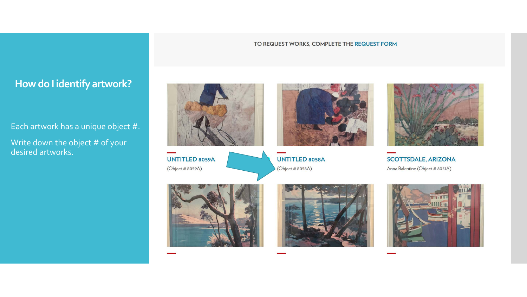#### TO REQUEST WORKS, COMPLETE THE REQUEST FORM

## **How do I identify artwork?**

Each artwork has a unique object #.

Write down the object # of your desired artworks.



**UNTITLED 8059A** (Object # 8059A)



**UNTITLED 8058A** (Object # 8058A)



**SCOTTSDALE, ARIZONA** Anna Balentine (Object # 8051A)





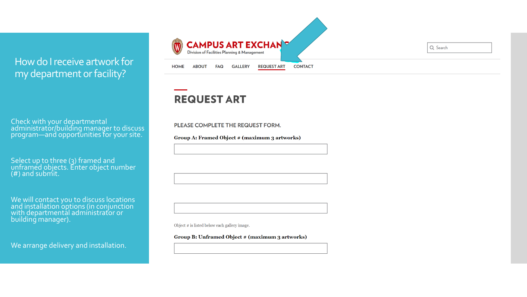### How do I receive artwork for my department or facility?

Check with your departmental administrator/building manager to discuss program—and opportunities for your site.

Select up to three (3) framed and unframed objects. Enter object number (#) and submit.

We will contact you to discuss locations and installation options (in conjunction with departmental administrator or building manager).

We arrange delivery and installation.



Q Search

# **REQUEST ART**

PLEASE COMPLETE THE REQUEST FORM.

Group A: Framed Object # (maximum 3 artworks)

Object # is listed below each gallery image.

Group B: Unframed Object # (maximum 3 artworks)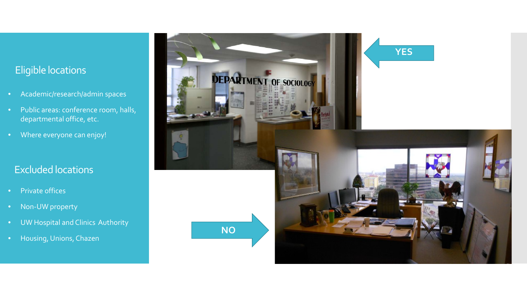## Eligible locations

- Academic/research/admin spaces
- Public areas: conference room, halls, departmental office, etc.
- Where everyone can enjoy!

## Excluded locations

- Private offices
- Non-UW property
- UW Hospital and Clinics Authority
- Housing, Unions, Chazen

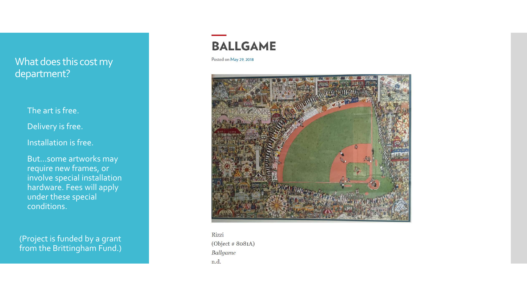### What does this cost my department?

#### The art is free.

Delivery is free.

#### Installation is free.

 But…some artworks may require new frames, or involve special installation hardware. Fees will apply under these special conditions.

(Project is funded by a grant from the Brittingham Fund.)

# **BALLGAME**

Posted on May 29, 2018



Rizzi (Object # 8081A) **Ballgame** n.d.